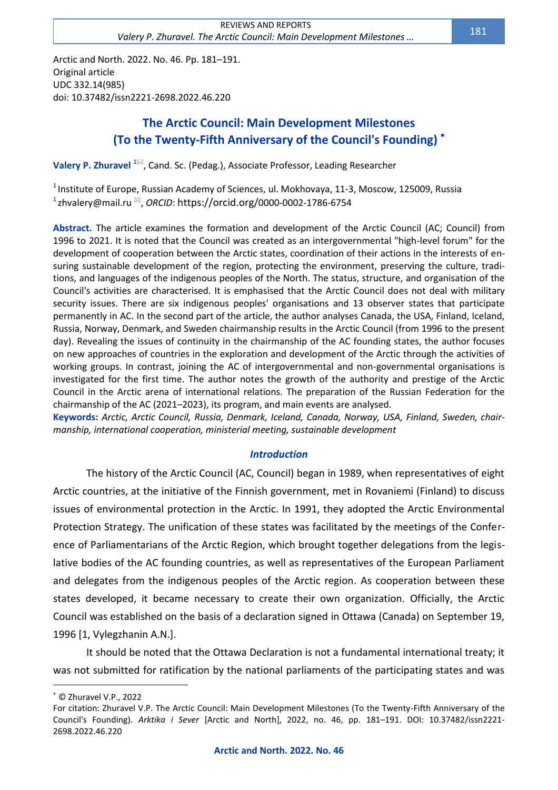Arctic and North. 2022. No. 46. Pp. 181–191. Original article UDC 332.14(985) doi: 10.37482/issn2221-2698.2022.46.220

# **The Arctic Council: Main Development Milestones (To the Twenty-Fifth Anniversary of the Council's Founding)**

**Valery P. Zhuravel** <sup>1⊠</sup>, Cand. Sc. (Pedag.), Associate Professor, Leading Researcher

 $^1$ Institute of Europe, Russian Academy of Sciences, ul. Mokhovaya, 11-3, Moscow, 125009, Russia <sup>1</sup> [zhvalery@mail.ru](file:///C:/Users/amorp/Downloads/zhvalery@mail.ru) <sup>⊠</sup>, *ORCID*: https://orcid.org/0000-0002-1786-6754

**Abstract.** The article examines the formation and development of the Arctic Council (AC; Council) from 1996 to 2021. It is noted that the Council was created as an intergovernmental "high-level forum" for the development of cooperation between the Arctic states, coordination of their actions in the interests of ensuring sustainable development of the region, protecting the environment, preserving the culture, traditions, and languages of the indigenous peoples of the North. The status, structure, and organisation of the Council's activities are characterised. It is emphasised that the Arctic Council does not deal with military security issues. There are six indigenous peoples' organisations and 13 observer states that participate permanently in AC. In the second part of the article, the author analyses Canada, the USA, Finland, Iceland, Russia, Norway, Denmark, and Sweden chairmanship results in the Arctic Council (from 1996 to the present day). Revealing the issues of continuity in the chairmanship of the AC founding states, the author focuses on new approaches of countries in the exploration and development of the Arctic through the activities of working groups. In contrast, joining the AC of intergovernmental and non-governmental organisations is investigated for the first time. The author notes the growth of the authority and prestige of the Arctic Council in the Arctic arena of international relations. The preparation of the Russian Federation for the chairmanship of the AC (2021–2023), its program, and main events are analysed.

**Keywords:** *Arctic, Arctic Council, Russia, Denmark, Iceland, Canada, Norway, USA, Finland, Sweden, chairmanship, international cooperation, ministerial meeting, sustainable development*

# *Introduction*

The history of the Arctic Council (AC, Council) began in 1989, when representatives of eight Arctic countries, at the initiative of the Finnish government, met in Rovaniemi (Finland) to discuss issues of environmental protection in the Arctic. In 1991, they adopted the Arctic Environmental Protection Strategy. The unification of these states was facilitated by the meetings of the Conference of Parliamentarians of the Arctic Region, which brought together delegations from the legislative bodies of the AC founding countries, as well as representatives of the European Parliament and delegates from the indigenous peoples of the Arctic region. As cooperation between these states developed, it became necessary to create their own organization. Officially, the Arctic Council was established on the basis of a declaration signed in Ottawa (Canada) on September 19, 1996 [1, Vylegzhanin A.N.].

It should be noted that the Ottawa Declaration is not a fundamental international treaty; it was not submitted for ratification by the national parliaments of the participating states and was

© Zhuravel V.P., 2022

For citation: Zhuravel V.P. The Arctic Council: Main Development Milestones (To the Twenty-Fifth Anniversary of the Council's Founding). *Arktika i Sever* [Arctic and North], 2022, no. 46, pp. 181–191. DOI: 10.37482/issn2221- 2698.2022.46.220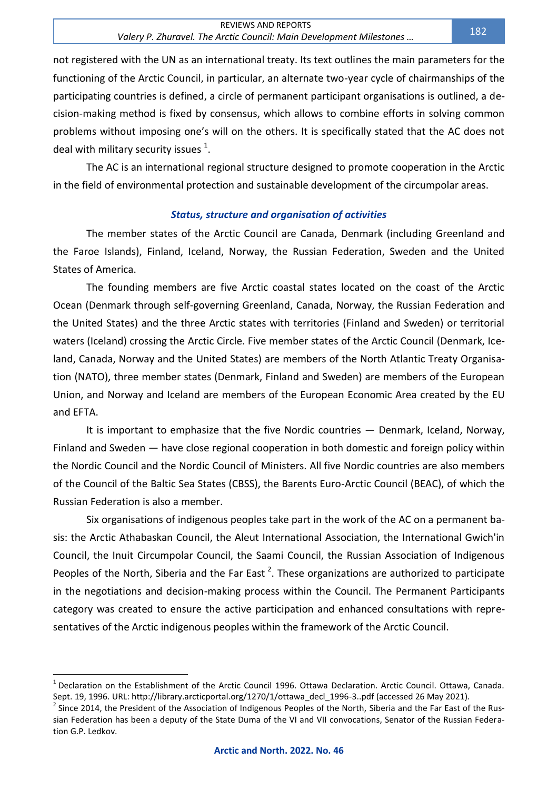not registered with the UN as an international treaty. Its text outlines the main parameters for the functioning of the Arctic Council, in particular, an alternate two-year cycle of chairmanships of the participating countries is defined, a circle of permanent participant organisations is outlined, a decision-making method is fixed by consensus, which allows to combine efforts in solving common problems without imposing one's will on the others. It is specifically stated that the AC does not deal with military security issues  $^1$ .

The AC is an international regional structure designed to promote cooperation in the Arctic in the field of environmental protection and sustainable development of the circumpolar areas.

### *Status, structure and organisation of activities*

The member states of the Arctic Council are Canada, Denmark (including Greenland and the Faroe Islands), Finland, Iceland, Norway, the Russian Federation, Sweden and the United States of America.

The founding members are five Arctic coastal states located on the coast of the Arctic Ocean (Denmark through self-governing Greenland, Canada, Norway, the Russian Federation and the United States) and the three Arctic states with territories (Finland and Sweden) or territorial waters (Iceland) crossing the Arctic Circle. Five member states of the Arctic Council (Denmark, Iceland, Canada, Norway and the United States) are members of the North Atlantic Treaty Organisation (NATO), three member states (Denmark, Finland and Sweden) are members of the European Union, and Norway and Iceland are members of the European Economic Area created by the EU and EFTA.

It is important to emphasize that the five Nordic countries — Denmark, Iceland, Norway, Finland and Sweden — have close regional cooperation in both domestic and foreign policy within the Nordic Council and the Nordic Council of Ministers. All five Nordic countries are also members of the Council of the Baltic Sea States (CBSS), the Barents Euro-Arctic Council (BEAC), of which the Russian Federation is also a member.

Six organisations of indigenous peoples take part in the work of the AC on a permanent basis: the Arctic Athabaskan Council, the Aleut International Association, the International Gwich'in Council, the Inuit Circumpolar Council, the Saami Council, the Russian Association of Indigenous Peoples of the North, Siberia and the Far East<sup>2</sup>. These organizations are authorized to participate in the negotiations and decision-making process within the Council. The Permanent Participants category was created to ensure the active participation and enhanced consultations with representatives of the Arctic indigenous peoples within the framework of the Arctic Council.

<sup>&</sup>lt;sup>1</sup> Declaration on the Establishment of the Arctic Council 1996. Ottawa Declaration. Arctic Council. Ottawa, Canada. Sept. 19, 1996. URL[: http://library.arcticportal.org/1270/1/ottawa\\_decl\\_1996-3..pdf](http://library.arcticportal.org/1270/1/ottawa_decl_1996-3..pdf) (accessed 26 May 2021).

 $^2$  Since 2014, the President of the Association of Indigenous Peoples of the North, Siberia and the Far East of the Russian Federation has been a deputy of the State Duma of the VI and VII convocations, Senator of the Russian Federation G.P. Ledkov.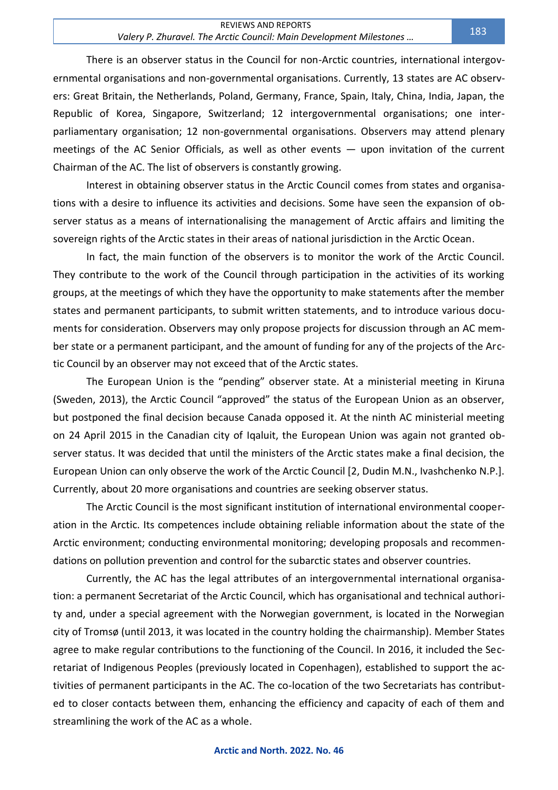There is an observer status in the Council for non-Arctic countries, international intergovernmental organisations and non-governmental organisations. Currently, 13 states are AC observers: Great Britain, the Netherlands, Poland, Germany, France, Spain, Italy, China, India, Japan, the Republic of Korea, Singapore, Switzerland; 12 intergovernmental organisations; one interparliamentary organisation; 12 non-governmental organisations. Observers may attend plenary meetings of the AC Senior Officials, as well as other events — upon invitation of the current Chairman of the AC. The list of observers is constantly growing.

Interest in obtaining observer status in the Arctic Council comes from states and organisations with a desire to influence its activities and decisions. Some have seen the expansion of observer status as a means of internationalising the management of Arctic affairs and limiting the sovereign rights of the Arctic states in their areas of national jurisdiction in the Arctic Ocean.

In fact, the main function of the observers is to monitor the work of the Arctic Council. They contribute to the work of the Council through participation in the activities of its working groups, at the meetings of which they have the opportunity to make statements after the member states and permanent participants, to submit written statements, and to introduce various documents for consideration. Observers may only propose projects for discussion through an AC member state or a permanent participant, and the amount of funding for any of the projects of the Arctic Council by an observer may not exceed that of the Arctic states.

The European Union is the "pending" observer state. At a ministerial meeting in Kiruna (Sweden, 2013), the Arctic Council "approved" the status of the European Union as an observer, but postponed the final decision because Canada opposed it. At the ninth AC ministerial meeting on 24 April 2015 in the Canadian city of Iqaluit, the European Union was again not granted observer status. It was decided that until the ministers of the Arctic states make a final decision, the European Union can only observe the work of the Arctic Council [2, Dudin M.N., Ivashchenko N.P.]. Currently, about 20 more organisations and countries are seeking observer status.

The Arctic Council is the most significant institution of international environmental cooperation in the Arctic. Its competences include obtaining reliable information about the state of the Arctic environment; conducting environmental monitoring; developing proposals and recommendations on pollution prevention and control for the subarctic states and observer countries.

Currently, the AC has the legal attributes of an intergovernmental international organisation: a permanent Secretariat of the Arctic Council, which has organisational and technical authority and, under a special agreement with the Norwegian government, is located in the Norwegian city of Tromsø (until 2013, it was located in the country holding the chairmanship). Member States agree to make regular contributions to the functioning of the Council. In 2016, it included the Secretariat of Indigenous Peoples (previously located in Copenhagen), established to support the activities of permanent participants in the AC. The co-location of the two Secretariats has contributed to closer contacts between them, enhancing the efficiency and capacity of each of them and streamlining the work of the AC as a whole.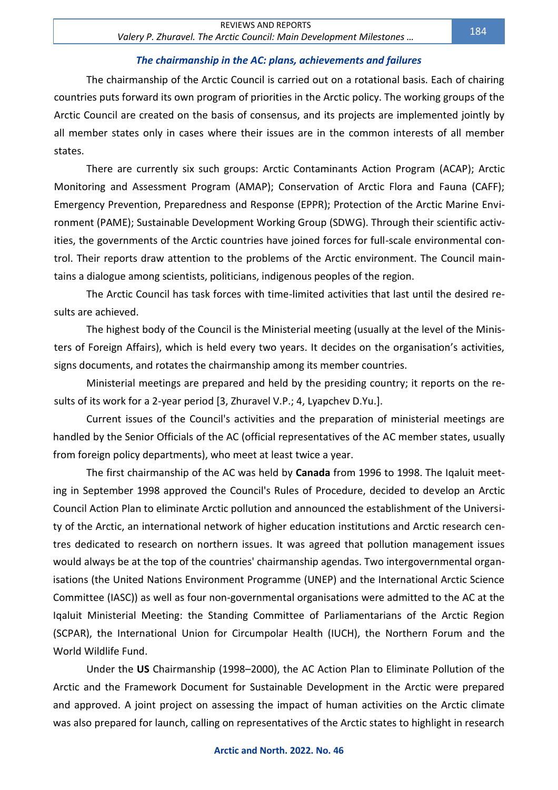### *The chairmanship in the AC: plans, achievements and failures*

The chairmanship of the Arctic Council is carried out on a rotational basis. Each of chairing countries puts forward its own program of priorities in the Arctic policy. The working groups of the Arctic Council are created on the basis of consensus, and its projects are implemented jointly by all member states only in cases where their issues are in the common interests of all member states.

There are currently six such groups: Arctic Contaminants Action Program (ACAP); Arctic Monitoring and Assessment Program (AMAP); Conservation of Arctic Flora and Fauna (CAFF); Emergency Prevention, Preparedness and Response (EPPR); Protection of the Arctic Marine Environment (PAME); Sustainable Development Working Group (SDWG). Through their scientific activities, the governments of the Arctic countries have joined forces for full-scale environmental control. Their reports draw attention to the problems of the Arctic environment. The Council maintains a dialogue among scientists, politicians, indigenous peoples of the region.

The Arctic Council has task forces with time-limited activities that last until the desired results are achieved.

The highest body of the Council is the Ministerial meeting (usually at the level of the Ministers of Foreign Affairs), which is held every two years. It decides on the organisation's activities, signs documents, and rotates the chairmanship among its member countries.

Ministerial meetings are prepared and held by the presiding country; it reports on the results of its work for a 2-year period [3, Zhuravel V.P.; 4, Lyapchev D.Yu.].

Current issues of the Council's activities and the preparation of ministerial meetings are handled by the Senior Officials of the AC (official representatives of the AC member states, usually from foreign policy departments), who meet at least twice a year.

The first chairmanship of the AC was held by **Canada** from 1996 to 1998. The Iqaluit meeting in September 1998 approved the Council's Rules of Procedure, decided to develop an Arctic Council Action Plan to eliminate Arctic pollution and announced the establishment of the University of the Arctic, an international network of higher education institutions and Arctic research centres dedicated to research on northern issues. It was agreed that pollution management issues would always be at the top of the countries' chairmanship agendas. Two intergovernmental organisations (the United Nations Environment Programme (UNEP) and the International Arctic Science Committee (IASC)) as well as four non-governmental organisations were admitted to the AC at the Iqaluit Ministerial Meeting: the Standing Committee of Parliamentarians of the Arctic Region (SCPAR), the International Union for Circumpolar Health (IUCH), the Northern Forum and the World Wildlife Fund.

Under the **US** Chairmanship (1998–2000), the AC Action Plan to Eliminate Pollution of the Arctic and the Framework Document for Sustainable Development in the Arctic were prepared and approved. A joint project on assessing the impact of human activities on the Arctic climate was also prepared for launch, calling on representatives of the Arctic states to highlight in research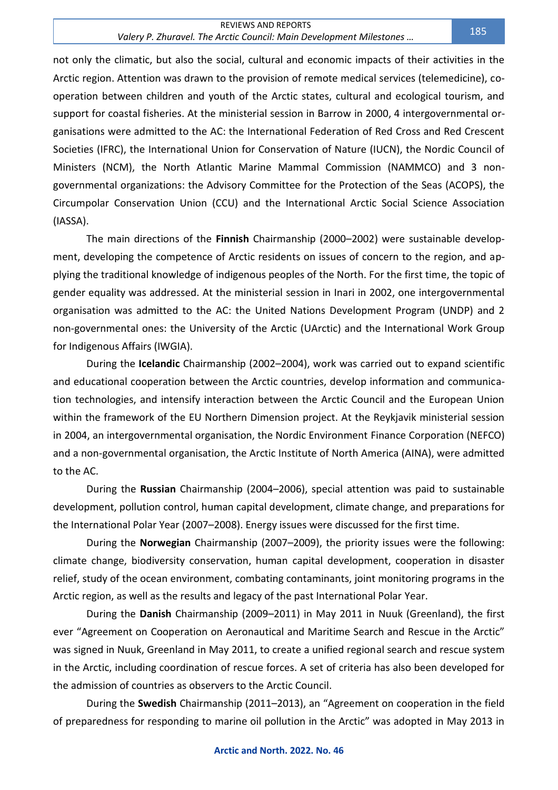#### REVIEWS AND REPORTS *Valery P. Zhuravel. The Arctic Council: Main Development Milestones …* <sup>185</sup>

not only the climatic, but also the social, cultural and economic impacts of their activities in the Arctic region. Attention was drawn to the provision of remote medical services (telemedicine), cooperation between children and youth of the Arctic states, cultural and ecological tourism, and support for coastal fisheries. At the ministerial session in Barrow in 2000, 4 intergovernmental organisations were admitted to the AC: the International Federation of Red Cross and Red Crescent Societies (IFRC), the International Union for Conservation of Nature (IUCN), the Nordic Council of Ministers (NCM), the North Atlantic Marine Mammal Commission (NAMMCO) and 3 nongovernmental organizations: the Advisory Committee for the Protection of the Seas (ACOPS), the Circumpolar Conservation Union (CCU) and the International Arctic Social Science Association (IASSA).

The main directions of the **Finnish** Chairmanship (2000–2002) were sustainable development, developing the competence of Arctic residents on issues of concern to the region, and applying the traditional knowledge of indigenous peoples of the North. For the first time, the topic of gender equality was addressed. At the ministerial session in Inari in 2002, one intergovernmental organisation was admitted to the AC: the United Nations Development Program (UNDP) and 2 non-governmental ones: the University of the Arctic (UArctic) and the International Work Group for Indigenous Affairs (IWGIA).

During the **Icelandic** Chairmanship (2002–2004), work was carried out to expand scientific and educational cooperation between the Arctic countries, develop information and communication technologies, and intensify interaction between the Arctic Council and the European Union within the framework of the EU Northern Dimension project. At the Reykjavik ministerial session in 2004, an intergovernmental organisation, the Nordic Environment Finance Corporation (NEFCO) and a non-governmental organisation, the Arctic Institute of North America (AINA), were admitted to the AC.

During the **Russian** Chairmanship (2004–2006), special attention was paid to sustainable development, pollution control, human capital development, climate change, and preparations for the International Polar Year (2007–2008). Energy issues were discussed for the first time.

During the **Norwegian** Chairmanship (2007–2009), the priority issues were the following: climate change, biodiversity conservation, human capital development, cooperation in disaster relief, study of the ocean environment, combating contaminants, joint monitoring programs in the Arctic region, as well as the results and legacy of the past International Polar Year.

During the **Danish** Chairmanship (2009–2011) in May 2011 in Nuuk (Greenland), the first ever "Agreement on Cooperation on Aeronautical and Maritime Search and Rescue in the Arctic" was signed in Nuuk, Greenland in May 2011, to create a unified regional search and rescue system in the Arctic, including coordination of rescue forces. A set of criteria has also been developed for the admission of countries as observers to the Arctic Council.

During the **Swedish** Chairmanship (2011–2013), an "Agreement on cooperation in the field of preparedness for responding to marine oil pollution in the Arctic" was adopted in May 2013 in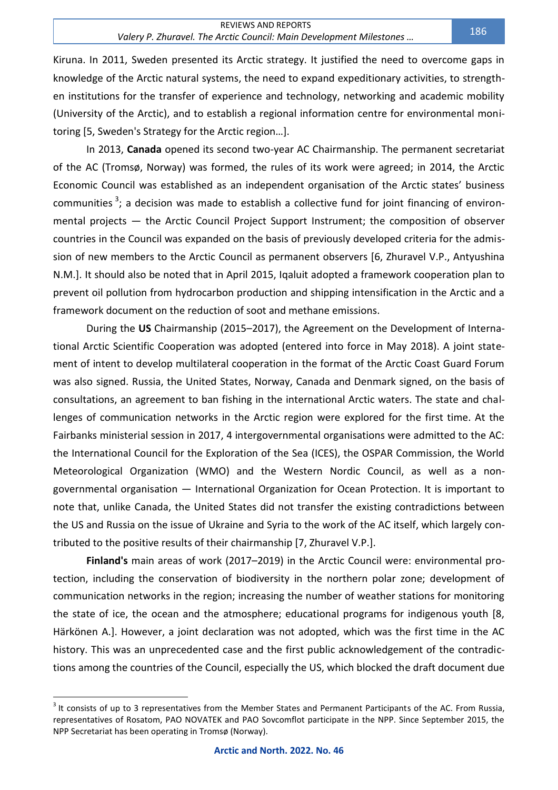Kiruna. In 2011, Sweden presented its Arctic strategy. It justified the need to overcome gaps in knowledge of the Arctic natural systems, the need to expand expeditionary activities, to strengthen institutions for the transfer of experience and technology, networking and academic mobility (University of the Arctic), and to establish a regional information centre for environmental monitoring [5, Sweden's Strategy for the Arctic region…].

In 2013, **Canada** opened its second two-year AC Chairmanship. The permanent secretariat of the AC (Tromsø, Norway) was formed, the rules of its work were agreed; in 2014, the Arctic Economic Council was established as an independent organisation of the Arctic states' business communities<sup>3</sup>; a decision was made to establish a collective fund for joint financing of environmental projects — the Arctic Council Project Support Instrument; the composition of observer countries in the Council was expanded on the basis of previously developed criteria for the admission of new members to the Arctic Council as permanent observers [6, Zhuravel V.P., Antyushina N.M.]. It should also be noted that in April 2015, Iqaluit adopted a framework cooperation plan to prevent oil pollution from hydrocarbon production and shipping intensification in the Arctic and a framework document on the reduction of soot and methane emissions.

During the **US** Chairmanship (2015–2017), the Agreement on the Development of International Arctic Scientific Cooperation was adopted (entered into force in May 2018). A joint statement of intent to develop multilateral cooperation in the format of the Arctic Coast Guard Forum was also signed. Russia, the United States, Norway, Canada and Denmark signed, on the basis of consultations, an agreement to ban fishing in the international Arctic waters. The state and challenges of communication networks in the Arctic region were explored for the first time. At the Fairbanks ministerial session in 2017, 4 intergovernmental organisations were admitted to the AC: the International Council for the Exploration of the Sea (ICES), the OSPAR Commission, the World Meteorological Organization (WMO) and the Western Nordic Council, as well as a nongovernmental organisation — International Organization for Ocean Protection. It is important to note that, unlike Canada, the United States did not transfer the existing contradictions between the US and Russia on the issue of Ukraine and Syria to the work of the AC itself, which largely contributed to the positive results of their chairmanship [7, Zhuravel V.P.].

**Finland's** main areas of work (2017–2019) in the Arctic Council were: environmental protection, including the conservation of biodiversity in the northern polar zone; development of communication networks in the region; increasing the number of weather stations for monitoring the state of ice, the ocean and the atmosphere; educational programs for indigenous youth [8, Härkönen A.]. However, a joint declaration was not adopted, which was the first time in the AC history. This was an unprecedented case and the first public acknowledgement of the contradictions among the countries of the Council, especially the US, which blocked the draft document due

 $3$  It consists of up to 3 representatives from the Member States and Permanent Participants of the AC. From Russia, representatives of Rosatom, PAO NOVATEK and PAO Sovcomflot participate in the NPP. Since September 2015, the NPP Secretariat has been operating in Tromsø (Norway).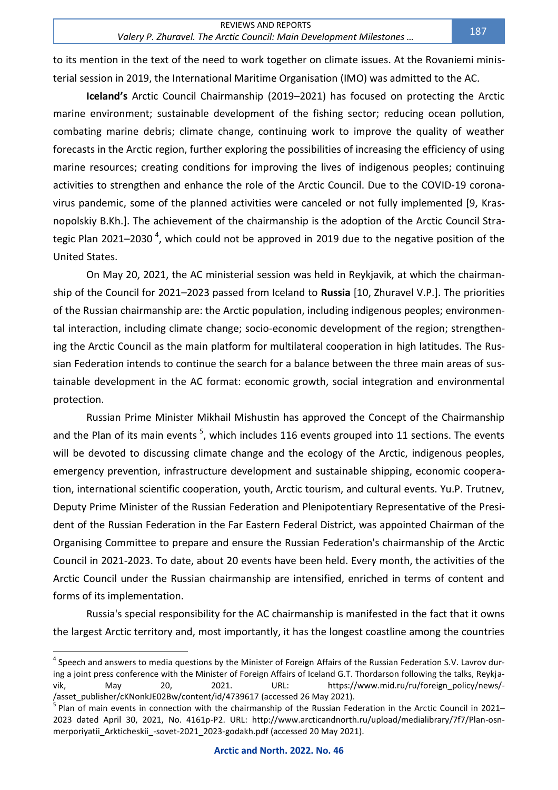to its mention in the text of the need to work together on climate issues. At the Rovaniemi ministerial session in 2019, the International Maritime Organisation (IMO) was admitted to the AC.

**Iceland's** Arctic Council Chairmanship (2019–2021) has focused on protecting the Arctic marine environment; sustainable development of the fishing sector; reducing ocean pollution, combating marine debris; climate change, continuing work to improve the quality of weather forecasts in the Arctic region, further exploring the possibilities of increasing the efficiency of using marine resources; creating conditions for improving the lives of indigenous peoples; continuing activities to strengthen and enhance the role of the Arctic Council. Due to the COVID-19 coronavirus pandemic, some of the planned activities were canceled or not fully implemented [9, Krasnopolskiy B.Kh.]. The achievement of the chairmanship is the adoption of the Arctic Council Strategic Plan 2021–2030<sup>4</sup>, which could not be approved in 2019 due to the negative position of the United States.

On May 20, 2021, the AC ministerial session was held in Reykjavik, at which the chairmanship of the Council for 2021–2023 passed from Iceland to **Russia** [10, Zhuravel V.P.]. The priorities of the Russian chairmanship are: the Arctic population, including indigenous peoples; environmental interaction, including climate change; socio-economic development of the region; strengthening the Arctic Council as the main platform for multilateral cooperation in high latitudes. The Russian Federation intends to continue the search for a balance between the three main areas of sustainable development in the AC format: economic growth, social integration and environmental protection.

Russian Prime Minister Mikhail Mishustin has approved the Concept of the Chairmanship and the Plan of its main events <sup>5</sup>, which includes 116 events grouped into 11 sections. The events will be devoted to discussing climate change and the ecology of the Arctic, indigenous peoples, emergency prevention, infrastructure development and sustainable shipping, economic cooperation, international scientific cooperation, youth, Arctic tourism, and cultural events. Yu.P. Trutnev, Deputy Prime Minister of the Russian Federation and Plenipotentiary Representative of the President of the Russian Federation in the Far Eastern Federal District, was appointed Chairman of the Organising Committee to prepare and ensure the Russian Federation's chairmanship of the Arctic Council in 2021-2023. To date, about 20 events have been held. Every month, the activities of the Arctic Council under the Russian chairmanship are intensified, enriched in terms of content and forms of its implementation.

Russia's special responsibility for the AC chairmanship is manifested in the fact that it owns the largest Arctic territory and, most importantly, it has the longest coastline among the countries

<sup>&</sup>lt;sup>4</sup> Speech and answers to media questions by the Minister of Foreign Affairs of the Russian Federation S.V. Lavrov during a joint press conference with the Minister of Foreign Affairs of Iceland G.T. Thordarson following the talks, Reykjavik, May 20, 2021. URL: [https://www.mid.ru/ru/foreign\\_policy/news/-](https://www.mid.ru/ru/foreign_policy/news/-/asset_publisher/cKNonkJE02Bw/content/id/4739617) [/asset\\_publisher/cKNonkJE02Bw/content/id/4739617](https://www.mid.ru/ru/foreign_policy/news/-/asset_publisher/cKNonkJE02Bw/content/id/4739617) (accessed 26 May 2021).

<sup>&</sup>lt;sup>5</sup> Plan of main events in connection with the chairmanship of the Russian Federation in the Arctic Council in 2021– 2023 dated April 30, 2021, No. 4161p-P2. URL: [http://www.arcticandnorth.ru/upload/medialibrary/7f7/Plan-osn](http://www.arcticandnorth.ru/upload/medialibrary/7f7/Plan-osn-merporiyatii_Arkticheskii_-sovet-2021_2023-godakh.pdf)[merporiyatii\\_Arkticheskii\\_-sovet-2021\\_2023-godakh.pdf](http://www.arcticandnorth.ru/upload/medialibrary/7f7/Plan-osn-merporiyatii_Arkticheskii_-sovet-2021_2023-godakh.pdf) (accessed 20 May 2021).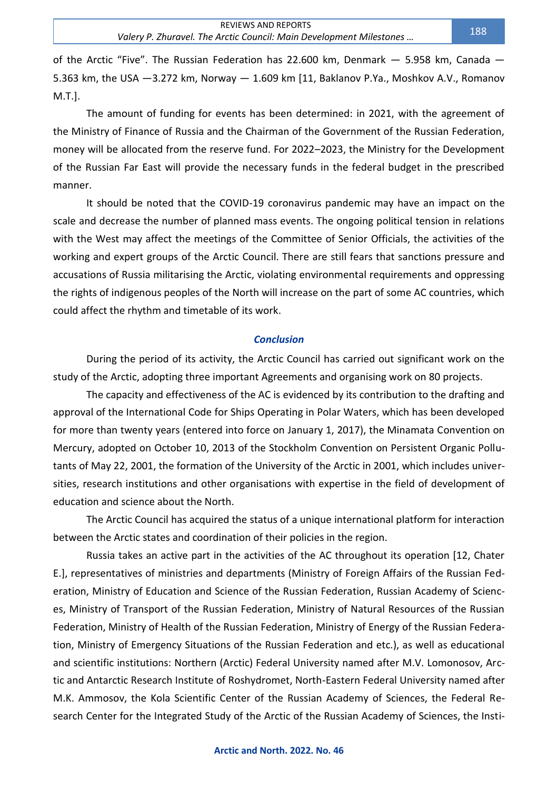of the Arctic "Five". The Russian Federation has 22.600 km, Denmark — 5.958 km, Canada — 5.363 km, the USA —3.272 km, Norway — 1.609 km [11, Baklanov P.Ya., Moshkov A.V., Romanov M.T.].

The amount of funding for events has been determined: in 2021, with the agreement of the Ministry of Finance of Russia and the Chairman of the Government of the Russian Federation, money will be allocated from the reserve fund. For 2022–2023, the Ministry for the Development of the Russian Far East will provide the necessary funds in the federal budget in the prescribed manner.

It should be noted that the COVID-19 coronavirus pandemic may have an impact on the scale and decrease the number of planned mass events. The ongoing political tension in relations with the West may affect the meetings of the Committee of Senior Officials, the activities of the working and expert groups of the Arctic Council. There are still fears that sanctions pressure and accusations of Russia militarising the Arctic, violating environmental requirements and oppressing the rights of indigenous peoples of the North will increase on the part of some AC countries, which could affect the rhythm and timetable of its work.

#### *Conclusion*

During the period of its activity, the Arctic Council has carried out significant work on the study of the Arctic, adopting three important Agreements and organising work on 80 projects.

The capacity and effectiveness of the AC is evidenced by its contribution to the drafting and approval of the International Code for Ships Operating in Polar Waters, which has been developed for more than twenty years (entered into force on January 1, 2017), the Minamata Convention on Mercury, adopted on October 10, 2013 of the Stockholm Convention on Persistent Organic Pollutants of May 22, 2001, the formation of the University of the Arctic in 2001, which includes universities, research institutions and other organisations with expertise in the field of development of education and science about the North.

The Arctic Council has acquired the status of a unique international platform for interaction between the Arctic states and coordination of their policies in the region.

Russia takes an active part in the activities of the AC throughout its operation [12, Chater E.], representatives of ministries and departments (Ministry of Foreign Affairs of the Russian Federation, Ministry of Education and Science of the Russian Federation, Russian Academy of Sciences, Ministry of Transport of the Russian Federation, Ministry of Natural Resources of the Russian Federation, Ministry of Health of the Russian Federation, Ministry of Energy of the Russian Federation, Ministry of Emergency Situations of the Russian Federation and etc.), as well as educational and scientific institutions: Northern (Arctic) Federal University named after M.V. Lomonosov, Arctic and Antarctic Research Institute of Roshydromet, North-Eastern Federal University named after M.K. Ammosov, the Kola Scientific Center of the Russian Academy of Sciences, the Federal Research Center for the Integrated Study of the Arctic of the Russian Academy of Sciences, the Insti-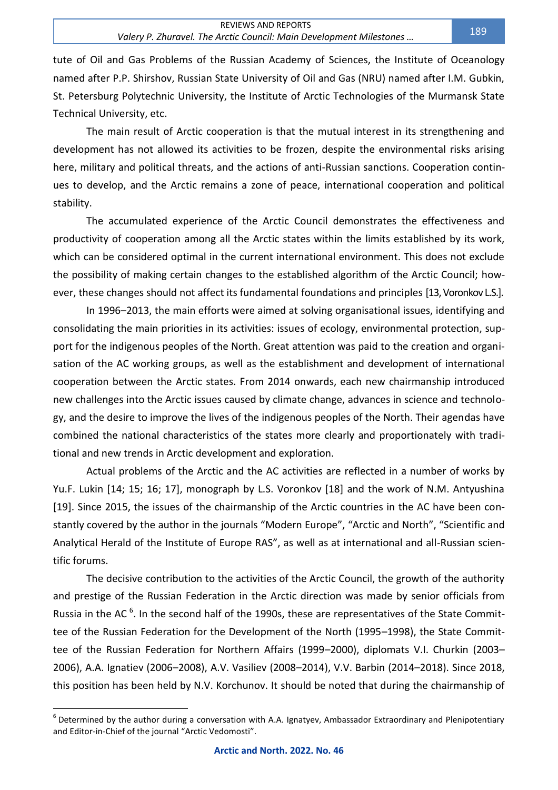tute of Oil and Gas Problems of the Russian Academy of Sciences, the Institute of Oceanology named after P.P. Shirshov, Russian State University of Oil and Gas (NRU) named after I.M. Gubkin, St. Petersburg Polytechnic University, the Institute of Arctic Technologies of the Murmansk State Technical University, etc.

The main result of Arctic cooperation is that the mutual interest in its strengthening and development has not allowed its activities to be frozen, despite the environmental risks arising here, military and political threats, and the actions of anti-Russian sanctions. Cooperation continues to develop, and the Arctic remains a zone of peace, international cooperation and political stability.

The accumulated experience of the Arctic Council demonstrates the effectiveness and productivity of cooperation among all the Arctic states within the limits established by its work, which can be considered optimal in the current international environment. This does not exclude the possibility of making certain changes to the established algorithm of the Arctic Council; however, these changes should not affect its fundamental foundations and principles [13, Voronkov L.S.].

In 1996–2013, the main efforts were aimed at solving organisational issues, identifying and consolidating the main priorities in its activities: issues of ecology, environmental protection, support for the indigenous peoples of the North. Great attention was paid to the creation and organisation of the AC working groups, as well as the establishment and development of international cooperation between the Arctic states. From 2014 onwards, each new chairmanship introduced new challenges into the Arctic issues caused by climate change, advances in science and technology, and the desire to improve the lives of the indigenous peoples of the North. Their agendas have combined the national characteristics of the states more clearly and proportionately with traditional and new trends in Arctic development and exploration.

Actual problems of the Arctic and the AC activities are reflected in a number of works by Yu.F. Lukin [14; 15; 16; 17], monograph by L.S. Voronkov [18] and the work of N.M. Antyushina [19]. Since 2015, the issues of the chairmanship of the Arctic countries in the AC have been constantly covered by the author in the journals "Modern Europe", "Arctic and North", "Scientific and Analytical Herald of the Institute of Europe RAS", as well as at international and all-Russian scientific forums.

The decisive contribution to the activities of the Arctic Council, the growth of the authority and prestige of the Russian Federation in the Arctic direction was made by senior officials from Russia in the AC  $<sup>6</sup>$ . In the second half of the 1990s, these are representatives of the State Commit-</sup> tee of the Russian Federation for the Development of the North (1995–1998), the State Committee of the Russian Federation for Northern Affairs (1999–2000), diplomats V.I. Churkin (2003– 2006), A.A. Ignatiev (2006–2008), A.V. Vasiliev (2008–2014), V.V. Barbin (2014–2018). Since 2018, this position has been held by N.V. Korchunov. It should be noted that during the chairmanship of

<sup>&</sup>lt;sup>6</sup> Determined by the author during a conversation with A.A. Ignatyev, Ambassador Extraordinary and Plenipotentiary and Editor-in-Chief of the journal "Arctic Vedomosti".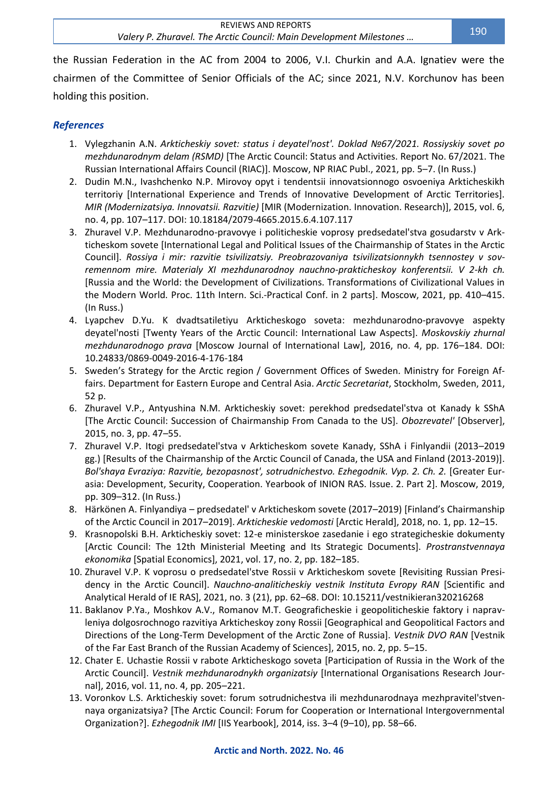the Russian Federation in the AC from 2004 to 2006, V.I. Churkin and A.A. Ignatiev were the chairmen of the Committee of Senior Officials of the AC; since 2021, N.V. Korchunov has been holding this position.

## *References*

- 1. Vylegzhanin A.N. *Arkticheskiy sovet: status i deyatel'nost'. Doklad №67/2021. Rossiyskiy sovet po mezhdunarodnym delam (RSMD)* [The Arctic Council: Status and Activities. Report No. 67/2021. The Russian International Affairs Council (RIAC)]. Moscow, NP RIAC Publ., 2021, pp. 5–7. (In Russ.)
- 2. Dudin M.N., Ivashchenko N.P. Mirovoy opyt i tendentsii innovatsionnogo osvoeniya Arkticheskikh territoriy [International Experience and Trends of Innovative Development of Arctic Territories]. *MIR (Modernizatsiya. Innovatsii. Razvitie)* [MIR (Modernization. Innovation. Research)], 2015, vol. 6, no. 4, pp. 107–117. DOI: 10.18184/2079-4665.2015.6.4.107.117
- 3. Zhuravel V.P. Mezhdunarodno-pravovye i politicheskie voprosy predsedatel'stva gosudarstv v Arkticheskom sovete [International Legal and Political Issues of the Chairmanship of States in the Arctic Council]. *Rossiya i mir: razvitie tsivilizatsiy. Preobrazovaniya tsivilizatsionnykh tsennostey v sovremennom mire. Materialy XI mezhdunarodnoy nauchno-prakticheskoy konferentsii. V 2-kh ch.* [Russia and the World: the Development of Civilizations. Transformations of Civilizational Values in the Modern World. Proc. 11th Intern. Sci.-Practical Conf. in 2 parts]. Moscow, 2021, pp. 410–415. (In Russ.)
- 4. Lyapchev D.Yu. K dvadtsatiletiyu Arkticheskogo soveta: mezhdunarodno-pravovye aspekty deyatel'nosti [Twenty Years of the Arctic Council: International Law Aspects]. *Moskovskiy zhurnal mezhdunarodnogo prava* [Moscow Journal of International Law], 2016, no. 4, pp. 176–184. DOI: 10.24833/0869-0049-2016-4-176-184
- 5. Sweden's Strategy for the Arctic region / Government Offices of Sweden. Ministry for Foreign Affairs. Department for Eastern Europe and Central Asia. *Arctic Secretariat*, Stockholm, Sweden, 2011, 52 p.
- 6. Zhuravel V.P., Antyushina N.M. Arkticheskiy sovet: perekhod predsedatel'stva ot Kanady k SShA [The Arctic Council: Succession of Chairmanship From Canada to the US]. *Obozrevatel'* [Observer], 2015, no. 3, pp. 47–55.
- 7. Zhuravel V.P. Itogi predsedatel'stva v Arkticheskom sovete Kanady, SShA i Finlyandii (2013–2019 gg.) [Results of the Chairmanship of the Arctic Council of Canada, the USA and Finland (2013-2019)]. *Bol'shaya Evraziya: Razvitie, bezopasnost', sotrudnichestvo. Ezhegodnik. Vyp. 2. Ch. 2.* [Greater Eurasia: Development, Security, Cooperation. Yearbook of INION RAS. Issue. 2. Part 2]. Moscow, 2019, pp. 309–312. (In Russ.)
- 8. Härkönen A. Finlyandiya predsedatel' v Arkticheskom sovete (2017–2019) [Finland's Chairmanship of the Arctic Council in 2017–2019]. *Arkticheskie vedomosti* [Arctic Herald], 2018, no. 1, pp. 12–15.
- 9. Krasnopolski B.H. Arkticheskiy sovet: 12-e ministerskoe zasedanie i ego strategicheskie dokumenty [Arctic Council: The 12th Ministerial Meeting and Its Strategic Documents]. *Prostranstvennaya ekonomika* [Spatial Economics], 2021, vol. 17, no. 2, pp. 182–185.
- 10. Zhuravel V.P. K voprosu o predsedatel'stve Rossii v Arkticheskom sovete [Revisiting Russian Presidency in the Arctic Council]. *Nauchno-analiticheskiy vestnik Instituta Evropy RAN* [Scientific and Analytical Herald of IE RAS], 2021, no. 3 (21), pp. 62–68. DOI: [10.15211/vestnikieran320216268](https://doi.org/10.15211/vestnikieran320216268)
- 11. Baklanov P.Ya., Moshkov A.V., Romanov M.T. Geograficheskie i geopoliticheskie faktory i napravleniya dolgosrochnogo razvitiya Arkticheskoy zony Rossii [Geographical and Geopolitical Factors and Directions of the Long-Term Development of the Arctic Zone of Russia]. *Vestnik DVO RAN* [Vestnik of the Far East Branch of the Russian Academy of Sciences], 2015, no. 2, pp. 5–15.
- 12. Chater E. Uchastie Rossii v rabote Arkticheskogo soveta [Participation of Russia in the Work of the Arctic Council]. *Vestnik mezhdunarodnykh organizatsiy* [International Organisations Research Journal], 2016, vol. 11, no. 4, pp. 205–221.
- 13. Voronkov L.S. Arkticheskiy sovet: forum sotrudnichestva ili mezhdunarodnaya mezhpravitel'stvennaya organizatsiya? [The Arctic Council: Forum for Cooperation or International Intergovernmental Organization?]. *Ezhegodnik IMI* [IIS Yearbook], 2014, iss. 3–4 (9–10), pp. 58–66.